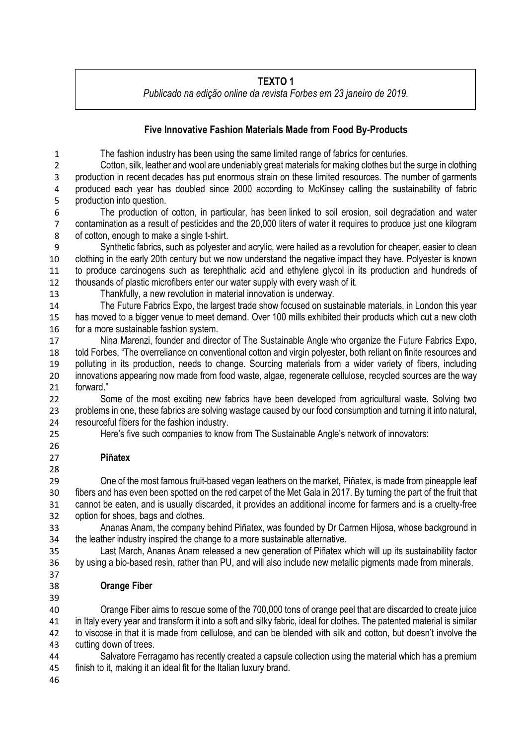# **TEXTO 1**

*Publicado na edição online da revista Forbes em 23 janeiro de 2019.*

# **Five Innovative Fashion Materials Made from Food By-Products**

The fashion industry has been using the same limited range of fabrics for centuries.

 Cotton, silk, leather and wool are undeniably great materials for making clothes but the surge in clothing production in recent decades has put enormous strain on these limited resources. The number of garments produced each year has doubled since 2000 according to McKinsey calling the sustainability of fabric production into question.

 The production of cotton, in particular, has been linked to soil erosion, soil degradation and water contamination as a result of pesticides and the 20,000 liters of water it requires to produce just one kilogram of cotton, enough to make a single t-shirt.

 Synthetic fabrics, such as polyester and acrylic, were hailed as a revolution for cheaper, easier to clean clothing in the early 20th century but we now understand the negative impact they have. Polyester is known to produce carcinogens such as terephthalic acid and ethylene glycol in its production and hundreds of thousands of plastic microfibers enter our water supply with every wash of it.

Thankfully, a new revolution in material innovation is underway.

 The Future Fabrics Expo, the largest trade show focused on sustainable materials, in London this year has moved to a bigger venue to meet demand. Over 100 mills exhibited their products which cut a new cloth for a more sustainable fashion system.

 Nina Marenzi, founder and director of The Sustainable Angle who organize the Future Fabrics Expo, told Forbes, "The overreliance on conventional cotton and virgin polyester, both reliant on finite resources and polluting in its production, needs to change. Sourcing materials from a wider variety of fibers, including innovations appearing now made from food waste, algae, regenerate cellulose, recycled sources are the way forward."

 Some of the most exciting new fabrics have been developed from agricultural waste. Solving two 23 problems in one, these fabrics are solving wastage caused by our food consumption and turning it into natural, resourceful fibers for the fashion industry.

Here's five such companies to know from The Sustainable Angle's network of innovators:

# **Piñatex**

 One of the most famous fruit-based vegan leathers on the market, Piñatex, is made from pineapple leaf fibers and has even been spotted on the red carpet of the Met Gala in 2017. By turning the part of the fruit that cannot be eaten, and is usually discarded, it provides an additional income for farmers and is a cruelty-free option for shoes, bags and clothes.

 Ananas Anam, the company behind Piñatex, was founded by Dr Carmen Hijosa, whose background in the leather industry inspired the change to a more sustainable alternative.

 Last March, Ananas Anam released a new generation of Piñatex which will up its sustainability factor by using a bio-based resin, rather than PU, and will also include new metallic pigments made from minerals.

**Orange Fiber**

 Orange Fiber aims to rescue some of the 700,000 tons of orange peel that are discarded to create juice in Italy every year and transform it into a soft and silky fabric, ideal for clothes. The patented material is similar to viscose in that it is made from cellulose, and can be blended with silk and cotton, but doesn't involve the cutting down of trees.

 Salvatore Ferragamo has recently created a capsule collection using the material which has a premium finish to it, making it an ideal fit for the Italian luxury brand.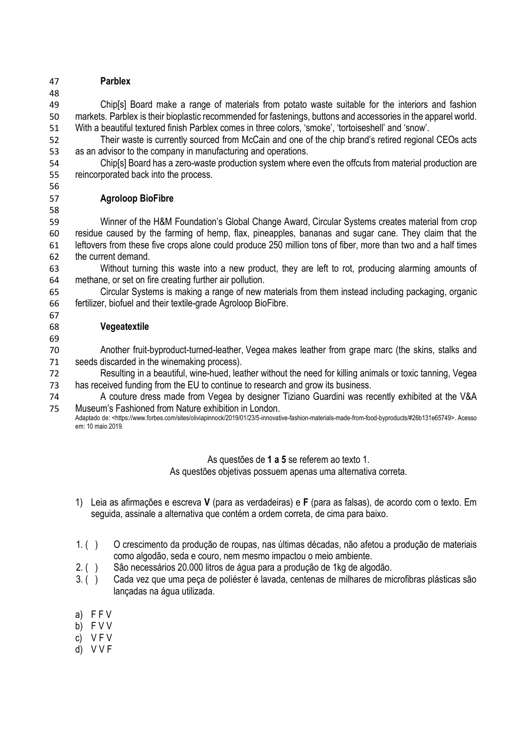#### **Parblex**

 Chip[s] Board make a range of materials from potato waste suitable for the interiors and fashion markets. Parblex is their bioplastic recommended for fastenings, buttons and accessories in the apparel world. With a beautiful textured finish Parblex comes in three colors, 'smoke', 'tortoiseshell' and 'snow'.

 Their waste is currently sourced from McCain and one of the chip brand's retired regional CEOs acts as an advisor to the company in manufacturing and operations.

 Chip[s] Board has a zero-waste production system where even the offcuts from material production are reincorporated back into the process.

# **Agroloop BioFibre**

 Winner of the H&M Foundation's Global Change Award, Circular Systems creates material from crop residue caused by the farming of hemp, flax, pineapples, bananas and sugar cane. They claim that the leftovers from these five crops alone could produce 250 million tons of fiber, more than two and a half times the current demand.

 Without turning this waste into a new product, they are left to rot, producing alarming amounts of methane, or set on fire creating further air pollution.

 Circular Systems is making a range of new materials from them instead including packaging, organic fertilizer, biofuel and their textile-grade Agroloop BioFibre.

### **Vegeatextile**

 Another fruit-byproduct-turned-leather, Vegea makes leather from grape marc (the skins, stalks and seeds discarded in the winemaking process).

 Resulting in a beautiful, wine-hued, leather without the need for killing animals or toxic tanning, Vegea has received funding from the EU to continue to research and grow its business.

 A couture dress made from Vegea by designer Tiziano Guardini was recently exhibited at the V&A Museum's Fashioned from Nature exhibition in London.

Adaptado de: [<https://www.forbes.com/sites/oliviapinnock/2019/01/23/5-innovative-fashion-materials-made-from-food-byproducts/#26b131e65749>](https://www.forbes.com/sites/oliviapinnock/2019/01/23/5-innovative-fashion-materials-made-from-food-byproducts/#26b131e65749). Acesso em: 10 maio 2019.

As questões de **1 a 5** se referem ao texto 1.

As questões objetivas possuem apenas uma alternativa correta.

- 1) Leia as afirmações e escreva **V** (para as verdadeiras) e **F** (para as falsas), de acordo com o texto. Em seguida, assinale a alternativa que contém a ordem correta, de cima para baixo.
- 1. ( ) O crescimento da produção de roupas, nas últimas décadas, não afetou a produção de materiais como algodão, seda e couro, nem mesmo impactou o meio ambiente.
- 2. ( ) São necessários 20.000 litros de água para a produção de 1kg de algodão.
- 3. ( ) Cada vez que uma peça de poliéster é lavada, centenas de milhares de microfibras plásticas são lançadas na água utilizada.
- a) F F V
- b)  $F V V$
- c) V F V
- d) V V F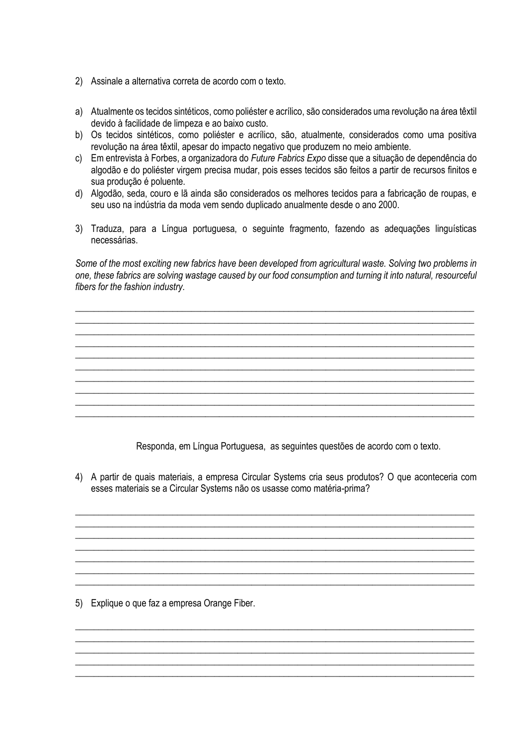- 2) Assinale a alternativa correta de acordo com o texto.
- a) Atualmente os tecidos sintéticos, como poliéster e acrílico, são considerados uma revolução na área têxtil devido à facilidade de limpeza e ao baixo custo.
- b) Os tecidos sintéticos, como poliéster e acrílico, são, atualmente, considerados como uma positiva revolução na área têxtil, apesar do impacto negativo que produzem no meio ambiente.
- c) Em entrevista à Forbes, a organizadora do *Future Fabrics Expo* disse que a situação de dependência do algodão e do poliéster virgem precisa mudar, pois esses tecidos são feitos a partir de recursos finitos e sua produção é poluente.
- d) Algodão, seda, couro e lã ainda são considerados os melhores tecidos para a fabricação de roupas, e seu uso na indústria da moda vem sendo duplicado anualmente desde o ano 2000.
- 3) Traduza, para a Língua portuguesa, o seguinte fragmento, fazendo as adequações linguísticas necessárias.

*Some of the most exciting new fabrics have been developed from agricultural waste. Solving two problems in one, these fabrics are solving wastage caused by our food consumption and turning it into natural, resourceful fibers for the fashion industry*.

\_\_\_\_\_\_\_\_\_\_\_\_\_\_\_\_\_\_\_\_\_\_\_\_\_\_\_\_\_\_\_\_\_\_\_\_\_\_\_\_\_\_\_\_\_\_\_\_\_\_\_\_\_\_\_\_\_\_\_\_\_\_\_\_\_\_\_\_\_\_\_\_\_\_\_\_\_\_\_\_\_\_\_\_\_\_ \_\_\_\_\_\_\_\_\_\_\_\_\_\_\_\_\_\_\_\_\_\_\_\_\_\_\_\_\_\_\_\_\_\_\_\_\_\_\_\_\_\_\_\_\_\_\_\_\_\_\_\_\_\_\_\_\_\_\_\_\_\_\_\_\_\_\_\_\_\_\_\_\_\_\_\_\_\_\_\_\_\_\_\_\_\_ \_\_\_\_\_\_\_\_\_\_\_\_\_\_\_\_\_\_\_\_\_\_\_\_\_\_\_\_\_\_\_\_\_\_\_\_\_\_\_\_\_\_\_\_\_\_\_\_\_\_\_\_\_\_\_\_\_\_\_\_\_\_\_\_\_\_\_\_\_\_\_\_\_\_\_\_\_\_\_\_\_\_\_\_\_\_  $\_$  , and the set of the set of the set of the set of the set of the set of the set of the set of the set of the set of the set of the set of the set of the set of the set of the set of the set of the set of the set of th \_\_\_\_\_\_\_\_\_\_\_\_\_\_\_\_\_\_\_\_\_\_\_\_\_\_\_\_\_\_\_\_\_\_\_\_\_\_\_\_\_\_\_\_\_\_\_\_\_\_\_\_\_\_\_\_\_\_\_\_\_\_\_\_\_\_\_\_\_\_\_\_\_\_\_\_\_\_\_\_\_\_\_\_\_\_  $\_$  , and the set of the set of the set of the set of the set of the set of the set of the set of the set of the set of the set of the set of the set of the set of the set of the set of the set of the set of the set of th \_\_\_\_\_\_\_\_\_\_\_\_\_\_\_\_\_\_\_\_\_\_\_\_\_\_\_\_\_\_\_\_\_\_\_\_\_\_\_\_\_\_\_\_\_\_\_\_\_\_\_\_\_\_\_\_\_\_\_\_\_\_\_\_\_\_\_\_\_\_\_\_\_\_\_\_\_\_\_\_\_\_\_\_\_\_  $\_$  , and the set of the set of the set of the set of the set of the set of the set of the set of the set of the set of the set of the set of the set of the set of the set of the set of the set of the set of the set of th  $\_$  , and the set of the set of the set of the set of the set of the set of the set of the set of the set of the set of the set of the set of the set of the set of the set of the set of the set of the set of the set of th  $\_$  , and the set of the set of the set of the set of the set of the set of the set of the set of the set of the set of the set of the set of the set of the set of the set of the set of the set of the set of the set of th

Responda, em Língua Portuguesa, as seguintes questões de acordo com o texto.

4) A partir de quais materiais, a empresa Circular Systems cria seus produtos? O que aconteceria com esses materiais se a Circular Systems não os usasse como matéria-prima?

 $\_$  , and the set of the set of the set of the set of the set of the set of the set of the set of the set of the set of the set of the set of the set of the set of the set of the set of the set of the set of the set of th  $\_$  , and the set of the set of the set of the set of the set of the set of the set of the set of the set of the set of the set of the set of the set of the set of the set of the set of the set of the set of the set of th  $\_$  , and the set of the set of the set of the set of the set of the set of the set of the set of the set of the set of the set of the set of the set of the set of the set of the set of the set of the set of the set of th  $\_$  , and the set of the set of the set of the set of the set of the set of the set of the set of the set of the set of the set of the set of the set of the set of the set of the set of the set of the set of the set of th \_\_\_\_\_\_\_\_\_\_\_\_\_\_\_\_\_\_\_\_\_\_\_\_\_\_\_\_\_\_\_\_\_\_\_\_\_\_\_\_\_\_\_\_\_\_\_\_\_\_\_\_\_\_\_\_\_\_\_\_\_\_\_\_\_\_\_\_\_\_\_\_\_\_\_\_\_\_\_\_\_\_\_\_\_\_  $\_$  , and the set of the set of the set of the set of the set of the set of the set of the set of the set of the set of the set of the set of the set of the set of the set of the set of the set of the set of the set of th  $\_$  , and the set of the set of the set of the set of the set of the set of the set of the set of the set of the set of the set of the set of the set of the set of the set of the set of the set of the set of the set of th

\_\_\_\_\_\_\_\_\_\_\_\_\_\_\_\_\_\_\_\_\_\_\_\_\_\_\_\_\_\_\_\_\_\_\_\_\_\_\_\_\_\_\_\_\_\_\_\_\_\_\_\_\_\_\_\_\_\_\_\_\_\_\_\_\_\_\_\_\_\_\_\_\_\_\_\_\_\_\_\_\_\_\_\_\_\_  $\_$  , and the set of the set of the set of the set of the set of the set of the set of the set of the set of the set of the set of the set of the set of the set of the set of the set of the set of the set of the set of th  $\_$  , and the set of the set of the set of the set of the set of the set of the set of the set of the set of the set of the set of the set of the set of the set of the set of the set of the set of the set of the set of th  $\_$  , and the set of the set of the set of the set of the set of the set of the set of the set of the set of the set of the set of the set of the set of the set of the set of the set of the set of the set of the set of th \_\_\_\_\_\_\_\_\_\_\_\_\_\_\_\_\_\_\_\_\_\_\_\_\_\_\_\_\_\_\_\_\_\_\_\_\_\_\_\_\_\_\_\_\_\_\_\_\_\_\_\_\_\_\_\_\_\_\_\_\_\_\_\_\_\_\_\_\_\_\_\_\_\_\_\_\_\_\_\_\_\_\_\_\_\_

5) Explique o que faz a empresa Orange Fiber.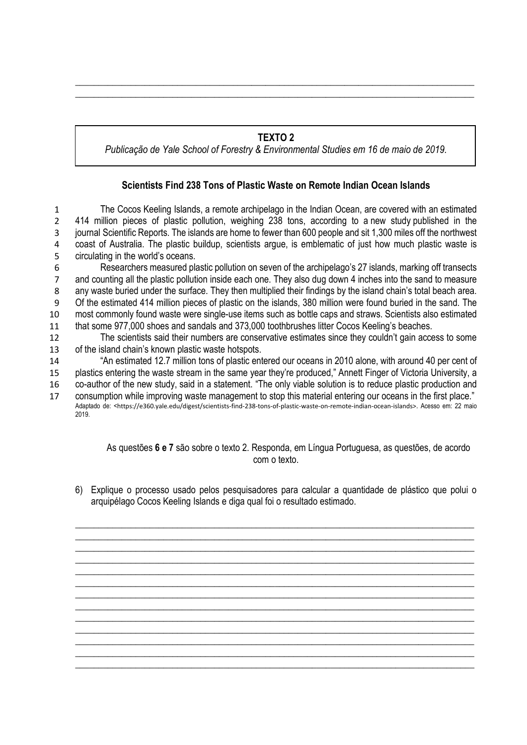# **TEXTO 2**

\_\_\_\_\_\_\_\_\_\_\_\_\_\_\_\_\_\_\_\_\_\_\_\_\_\_\_\_\_\_\_\_\_\_\_\_\_\_\_\_\_\_\_\_\_\_\_\_\_\_\_\_\_\_\_\_\_\_\_\_\_\_\_\_\_\_\_\_\_\_\_\_\_\_\_\_\_\_\_\_\_\_\_\_\_\_  $\_$  , and the set of the set of the set of the set of the set of the set of the set of the set of the set of the set of the set of the set of the set of the set of the set of the set of the set of the set of the set of th

*Publicação de Yale School of Forestry & Environmental Studies em 16 de maio de 2019.*

# **Scientists Find 238 Tons of Plastic Waste on Remote Indian Ocean Islands**

 The Cocos Keeling Islands, a remote archipelago in the Indian Ocean, are covered with an estimated 414 million pieces of plastic pollution, weighing 238 tons, according to a new study published in the journal Scientific Reports. The islands are home to fewer than 600 people and sit 1,300 miles off the northwest coast of Australia. The plastic buildup, scientists argue, is emblematic of just how much plastic waste is circulating in the world's oceans.

 Researchers measured plastic pollution on seven of the archipelago's 27 islands, marking off transects and counting all the plastic pollution inside each one. They also dug down 4 inches into the sand to measure any waste buried under the surface. They then multiplied their findings by the island chain's total beach area. Of the estimated 414 million pieces of plastic on the islands, 380 million were found buried in the sand. The most commonly found waste were single-use items such as bottle caps and straws. Scientists also estimated that some 977,000 shoes and sandals and 373,000 toothbrushes litter Cocos Keeling's beaches.

12 The scientists said their numbers are conservative estimates since they couldn't gain access to some 13 of the island chain's known plastic waste hotspots.

14 "An estimated 12.7 million tons of plastic entered our oceans in 2010 alone, with around 40 per cent of 15 plastics entering the waste stream in the same year they're produced," Annett Finger of Victoria University, a 16 co-author of the new study, said in a statement. "The only viable solution is to reduce plastic production and

17 consumption while improving waste management to stop this material entering our oceans in the first place."

Adaptado de: <[https://e360.yale.edu/digest/scientists-find-238-tons-of-plastic-waste-on-remote-indian-ocean-islands>](https://e360.yale.edu/digest/scientists-find-238-tons-of-plastic-waste-on-remote-indian-ocean-islands). Acesso em: 22 maio 2019.

> As questões **6 e 7** são sobre o texto 2. Responda, em Língua Portuguesa, as questões, de acordo com o texto.

6) Explique o processo usado pelos pesquisadores para calcular a quantidade de plástico que polui o arquipélago Cocos Keeling Islands e diga qual foi o resultado estimado.

 $\_$  , and the set of the set of the set of the set of the set of the set of the set of the set of the set of the set of the set of the set of the set of the set of the set of the set of the set of the set of the set of th  $\_$  , and the set of the set of the set of the set of the set of the set of the set of the set of the set of the set of the set of the set of the set of the set of the set of the set of the set of the set of the set of th  $\_$  , and the set of the set of the set of the set of the set of the set of the set of the set of the set of the set of the set of the set of the set of the set of the set of the set of the set of the set of the set of th \_\_\_\_\_\_\_\_\_\_\_\_\_\_\_\_\_\_\_\_\_\_\_\_\_\_\_\_\_\_\_\_\_\_\_\_\_\_\_\_\_\_\_\_\_\_\_\_\_\_\_\_\_\_\_\_\_\_\_\_\_\_\_\_\_\_\_\_\_\_\_\_\_\_\_\_\_\_\_\_\_\_\_\_\_\_ \_\_\_\_\_\_\_\_\_\_\_\_\_\_\_\_\_\_\_\_\_\_\_\_\_\_\_\_\_\_\_\_\_\_\_\_\_\_\_\_\_\_\_\_\_\_\_\_\_\_\_\_\_\_\_\_\_\_\_\_\_\_\_\_\_\_\_\_\_\_\_\_\_\_\_\_\_\_\_\_\_\_\_\_\_\_  $\_$  , and the set of the set of the set of the set of the set of the set of the set of the set of the set of the set of the set of the set of the set of the set of the set of the set of the set of the set of the set of th \_\_\_\_\_\_\_\_\_\_\_\_\_\_\_\_\_\_\_\_\_\_\_\_\_\_\_\_\_\_\_\_\_\_\_\_\_\_\_\_\_\_\_\_\_\_\_\_\_\_\_\_\_\_\_\_\_\_\_\_\_\_\_\_\_\_\_\_\_\_\_\_\_\_\_\_\_\_\_\_\_\_\_\_\_\_  $\_$  , and the set of the set of the set of the set of the set of the set of the set of the set of the set of the set of the set of the set of the set of the set of the set of the set of the set of the set of the set of th \_\_\_\_\_\_\_\_\_\_\_\_\_\_\_\_\_\_\_\_\_\_\_\_\_\_\_\_\_\_\_\_\_\_\_\_\_\_\_\_\_\_\_\_\_\_\_\_\_\_\_\_\_\_\_\_\_\_\_\_\_\_\_\_\_\_\_\_\_\_\_\_\_\_\_\_\_\_\_\_\_\_\_\_\_\_ \_\_\_\_\_\_\_\_\_\_\_\_\_\_\_\_\_\_\_\_\_\_\_\_\_\_\_\_\_\_\_\_\_\_\_\_\_\_\_\_\_\_\_\_\_\_\_\_\_\_\_\_\_\_\_\_\_\_\_\_\_\_\_\_\_\_\_\_\_\_\_\_\_\_\_\_\_\_\_\_\_\_\_\_\_\_ \_\_\_\_\_\_\_\_\_\_\_\_\_\_\_\_\_\_\_\_\_\_\_\_\_\_\_\_\_\_\_\_\_\_\_\_\_\_\_\_\_\_\_\_\_\_\_\_\_\_\_\_\_\_\_\_\_\_\_\_\_\_\_\_\_\_\_\_\_\_\_\_\_\_\_\_\_\_\_\_\_\_\_\_\_\_ \_\_\_\_\_\_\_\_\_\_\_\_\_\_\_\_\_\_\_\_\_\_\_\_\_\_\_\_\_\_\_\_\_\_\_\_\_\_\_\_\_\_\_\_\_\_\_\_\_\_\_\_\_\_\_\_\_\_\_\_\_\_\_\_\_\_\_\_\_\_\_\_\_\_\_\_\_\_\_\_\_\_\_\_\_\_  $\_$  , and the set of the set of the set of the set of the set of the set of the set of the set of the set of the set of the set of the set of the set of the set of the set of the set of the set of the set of the set of th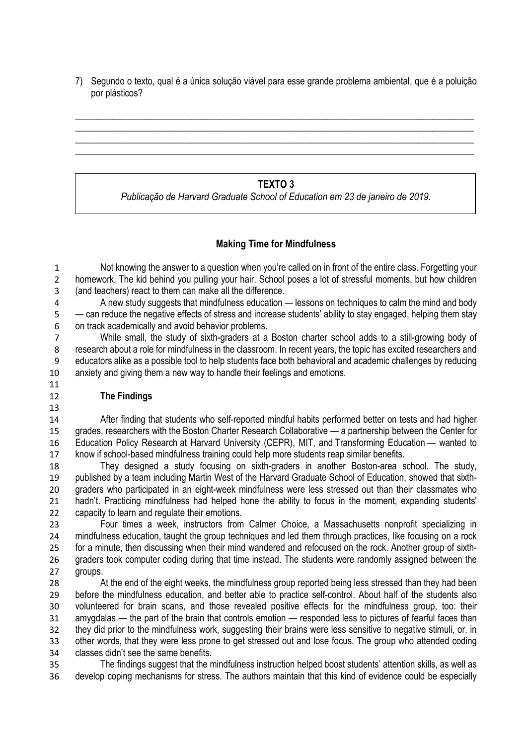7) Segundo o texto, qual é a única solução viável para esse grande problema ambiental, que é a poluição por plásticos?

 $\_$  ,  $\_$  ,  $\_$  ,  $\_$  ,  $\_$  ,  $\_$  ,  $\_$  ,  $\_$  ,  $\_$  ,  $\_$  ,  $\_$  ,  $\_$  ,  $\_$  ,  $\_$  ,  $\_$  ,  $\_$  ,  $\_$  ,  $\_$  ,  $\_$  ,  $\_$  ,  $\_$  ,  $\_$  ,  $\_$  ,  $\_$  ,  $\_$  ,  $\_$  ,  $\_$  ,  $\_$  ,  $\_$  ,  $\_$  ,  $\_$  ,  $\_$  ,  $\_$  ,  $\_$  ,  $\_$  ,  $\_$  ,  $\_$  ,  $\_$  , and the set of the set of the set of the set of the set of the set of the set of the set of the set of the set of the set of the set of the set of the set of the set of the set of the set of the set of the set of th \_\_\_\_\_\_\_\_\_\_\_\_\_\_\_\_\_\_\_\_\_\_\_\_\_\_\_\_\_\_\_\_\_\_\_\_\_\_\_\_\_\_\_\_\_\_\_\_\_\_\_\_\_\_\_\_\_\_\_\_\_\_\_\_\_\_\_\_\_\_\_\_\_\_\_\_\_\_\_\_\_\_\_\_\_\_  $\_$  , and the set of the set of the set of the set of the set of the set of the set of the set of the set of the set of the set of the set of the set of the set of the set of the set of the set of the set of the set of th

# **TEXTO 3**

*Publicação de Harvard Graduate School of Education em 23 de janeiro de 2019.*

# **Making Time for Mindfulness**

 Not knowing the answer to a question when you're called on in front of the entire class. Forgetting your homework. The kid behind you pulling your hair. School poses a lot of stressful moments, but how children (and teachers) react to them can make all the difference.

 A new study suggests that mindfulness education — lessons on techniques to calm the mind and body — can reduce the negative effects of stress and increase students' ability to stay engaged, helping them stay on track academically and avoid behavior problems.

 While small, the study of sixth-graders at a Boston charter school adds to a still-growing body of research about a role for mindfulness in the classroom. In recent years, the topic has excited researchers and educators alike as a possible tool to help students face both behavioral and academic challenges by reducing anxiety and giving them a new way to handle their feelings and emotions.

# **The Findings**

 After finding that students who self-reported mindful habits performed better on tests and had higher grades, researchers with the Boston Charter Research Collaborative — a partnership between the Center for Education Policy Research at Harvard University (CEPR), MIT, and Transforming Education — wanted to know if school-based mindfulness training could help more students reap similar benefits.

 They designed a study focusing on sixth-graders in another Boston-area school. The study, published by a team including Martin West of the Harvard Graduate School of Education, showed that sixth- graders who participated in an eight-week mindfulness were less stressed out than their classmates who hadn't. Practicing mindfulness had helped hone the ability to focus in the moment, expanding students' capacity to learn and regulate their emotions.

 Four times a week, instructors from Calmer Choice, a Massachusetts nonprofit specializing in mindfulness education, taught the group techniques and led them through practices, like focusing on a rock for a minute, then discussing when their mind wandered and refocused on the rock. Another group of sixth-26 graders took computer coding during that time instead. The students were randomly assigned between the 27 aroups.

 At the end of the eight weeks, the mindfulness group reported being less stressed than they had been before the mindfulness education, and better able to practice self-control. About half of the students also volunteered for brain scans, and those revealed positive effects for the mindfulness group, too: their amygdalas — the part of the brain that controls emotion — responded less to pictures of fearful faces than they did prior to the mindfulness work, suggesting their brains were less sensitive to negative stimuli, or, in other words, that they were less prone to get stressed out and lose focus. The group who attended coding classes didn't see the same benefits.

 The findings suggest that the mindfulness instruction helped boost students' attention skills, as well as develop coping mechanisms for stress. The authors maintain that this kind of evidence could be especially